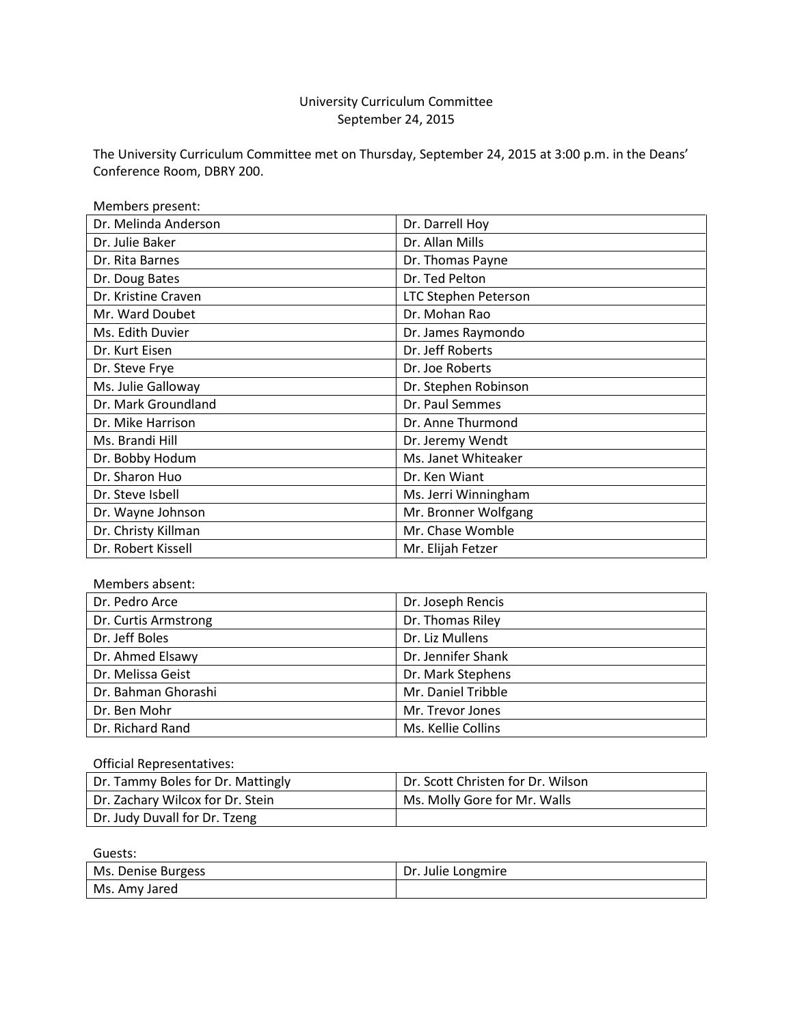# University Curriculum Committee September 24, 2015

The University Curriculum Committee met on Thursday, September 24, 2015 at 3:00 p.m. in the Deans' Conference Room, DBRY 200.

| Members present:     |                             |
|----------------------|-----------------------------|
| Dr. Melinda Anderson | Dr. Darrell Hoy             |
| Dr. Julie Baker      | Dr. Allan Mills             |
| Dr. Rita Barnes      | Dr. Thomas Payne            |
| Dr. Doug Bates       | Dr. Ted Pelton              |
| Dr. Kristine Craven  | <b>LTC Stephen Peterson</b> |
| Mr. Ward Doubet      | Dr. Mohan Rao               |
| Ms. Edith Duvier     | Dr. James Raymondo          |
| Dr. Kurt Eisen       | Dr. Jeff Roberts            |
| Dr. Steve Frye       | Dr. Joe Roberts             |
| Ms. Julie Galloway   | Dr. Stephen Robinson        |
| Dr. Mark Groundland  | Dr. Paul Semmes             |
| Dr. Mike Harrison    | Dr. Anne Thurmond           |
| Ms. Brandi Hill      | Dr. Jeremy Wendt            |
| Dr. Bobby Hodum      | Ms. Janet Whiteaker         |
| Dr. Sharon Huo       | Dr. Ken Wiant               |
| Dr. Steve Isbell     | Ms. Jerri Winningham        |
| Dr. Wayne Johnson    | Mr. Bronner Wolfgang        |
| Dr. Christy Killman  | Mr. Chase Womble            |
| Dr. Robert Kissell   | Mr. Elijah Fetzer           |

| Members absent:      |                    |
|----------------------|--------------------|
| Dr. Pedro Arce       | Dr. Joseph Rencis  |
| Dr. Curtis Armstrong | Dr. Thomas Riley   |
| Dr. Jeff Boles       | Dr. Liz Mullens    |
| Dr. Ahmed Elsawy     | Dr. Jennifer Shank |
| Dr. Melissa Geist    | Dr. Mark Stephens  |
| Dr. Bahman Ghorashi  | Mr. Daniel Tribble |
| Dr. Ben Mohr         | Mr. Trevor Jones   |
| Dr. Richard Rand     | Ms. Kellie Collins |

Official Representatives:

| Dr. Tammy Boles for Dr. Mattingly | <sup>1</sup> Dr. Scott Christen for Dr. Wilson |
|-----------------------------------|------------------------------------------------|
| Dr. Zachary Wilcox for Dr. Stein  | Ms. Molly Gore for Mr. Walls                   |
| Dr. Judy Duvall for Dr. Tzeng     |                                                |

| Guests:            |                    |
|--------------------|--------------------|
| Ms. Denise Burgess | Dr. Julie Longmire |
| Ms. Amy Jared      |                    |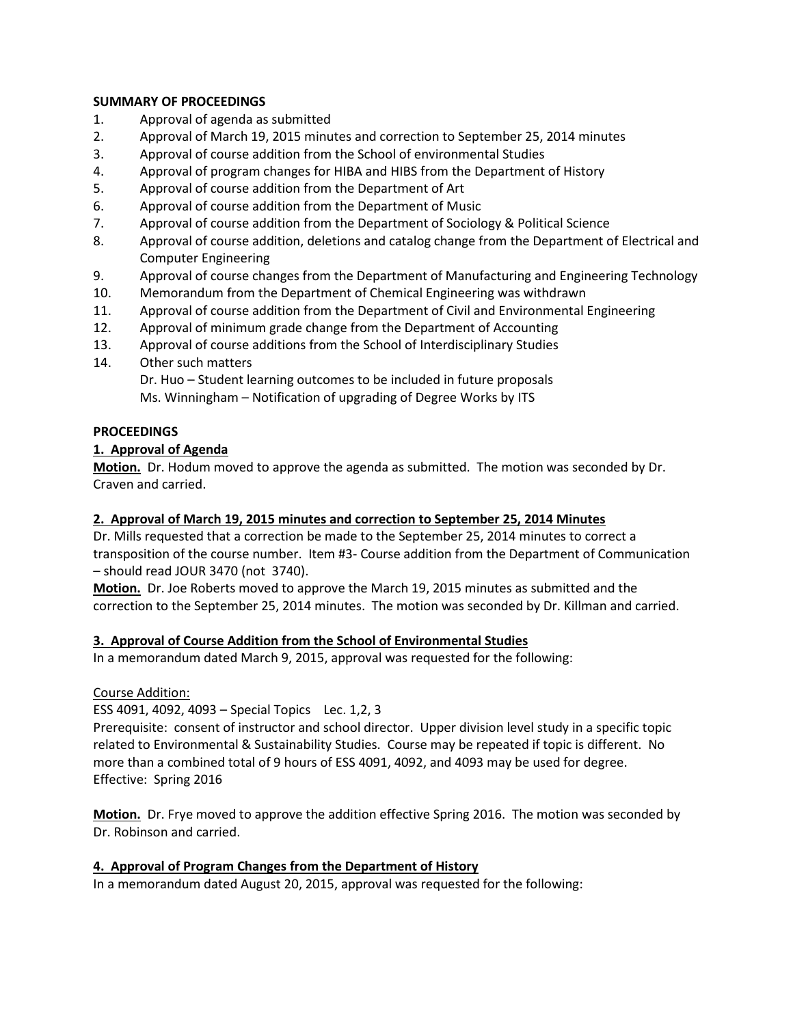#### **SUMMARY OF PROCEEDINGS**

- 1. Approval of agenda as submitted
- 2. Approval of March 19, 2015 minutes and correction to September 25, 2014 minutes
- 3. Approval of course addition from the School of environmental Studies
- 4. Approval of program changes for HIBA and HIBS from the Department of History
- 5. Approval of course addition from the Department of Art
- 6. Approval of course addition from the Department of Music
- 7. Approval of course addition from the Department of Sociology & Political Science
- 8. Approval of course addition, deletions and catalog change from the Department of Electrical and Computer Engineering
- 9. Approval of course changes from the Department of Manufacturing and Engineering Technology
- 10. Memorandum from the Department of Chemical Engineering was withdrawn
- 11. Approval of course addition from the Department of Civil and Environmental Engineering
- 12. Approval of minimum grade change from the Department of Accounting
- 13. Approval of course additions from the School of Interdisciplinary Studies
- 14. Other such matters

Dr. Huo – Student learning outcomes to be included in future proposals Ms. Winningham – Notification of upgrading of Degree Works by ITS

#### **PROCEEDINGS**

### **1. Approval of Agenda**

**Motion.** Dr. Hodum moved to approve the agenda as submitted. The motion was seconded by Dr. Craven and carried.

### **2. Approval of March 19, 2015 minutes and correction to September 25, 2014 Minutes**

Dr. Mills requested that a correction be made to the September 25, 2014 minutes to correct a transposition of the course number. Item #3- Course addition from the Department of Communication – should read JOUR 3470 (not 3740).

**Motion.** Dr. Joe Roberts moved to approve the March 19, 2015 minutes as submitted and the correction to the September 25, 2014 minutes. The motion was seconded by Dr. Killman and carried.

#### **3. Approval of Course Addition from the School of Environmental Studies**

In a memorandum dated March 9, 2015, approval was requested for the following:

#### Course Addition:

ESS 4091, 4092, 4093 – Special Topics Lec. 1,2, 3

Prerequisite: consent of instructor and school director. Upper division level study in a specific topic related to Environmental & Sustainability Studies. Course may be repeated if topic is different. No more than a combined total of 9 hours of ESS 4091, 4092, and 4093 may be used for degree. Effective: Spring 2016

**Motion.** Dr. Frye moved to approve the addition effective Spring 2016. The motion was seconded by Dr. Robinson and carried.

#### **4. Approval of Program Changes from the Department of History**

In a memorandum dated August 20, 2015, approval was requested for the following: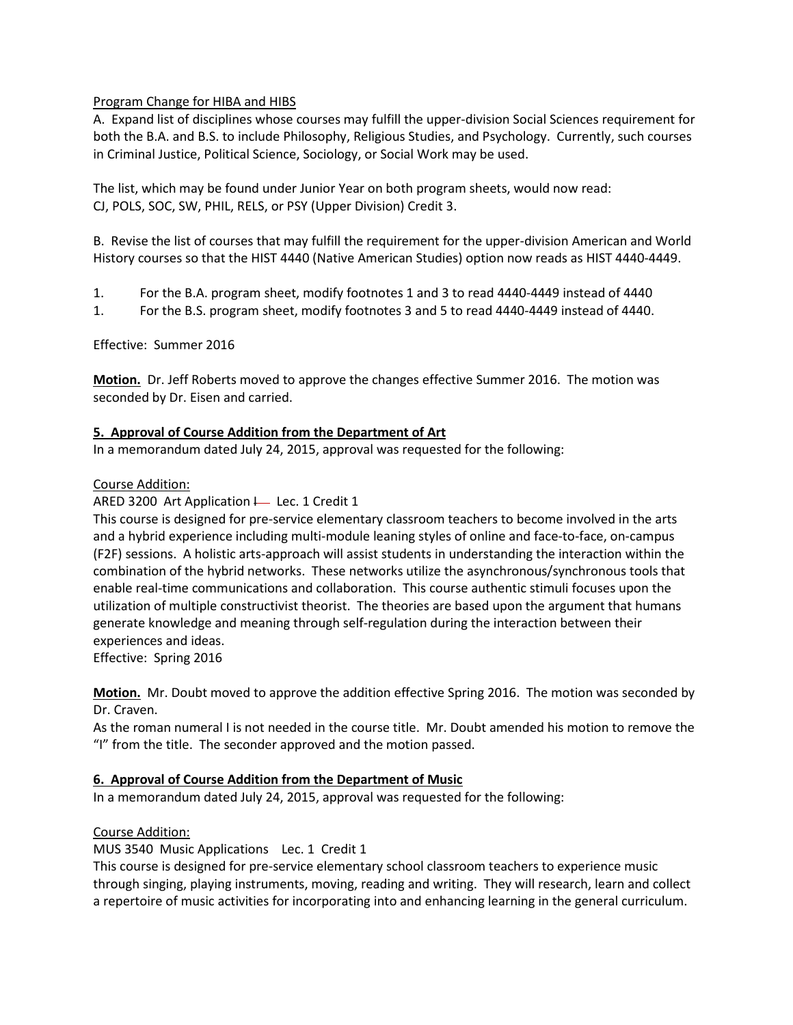### Program Change for HIBA and HIBS

A. Expand list of disciplines whose courses may fulfill the upper-division Social Sciences requirement for both the B.A. and B.S. to include Philosophy, Religious Studies, and Psychology. Currently, such courses in Criminal Justice, Political Science, Sociology, or Social Work may be used.

The list, which may be found under Junior Year on both program sheets, would now read: CJ, POLS, SOC, SW, PHIL, RELS, or PSY (Upper Division) Credit 3.

B. Revise the list of courses that may fulfill the requirement for the upper-division American and World History courses so that the HIST 4440 (Native American Studies) option now reads as HIST 4440-4449.

- 1. For the B.A. program sheet, modify footnotes 1 and 3 to read 4440-4449 instead of 4440
- 1. For the B.S. program sheet, modify footnotes 3 and 5 to read 4440-4449 instead of 4440.

Effective: Summer 2016

**Motion.** Dr. Jeff Roberts moved to approve the changes effective Summer 2016. The motion was seconded by Dr. Eisen and carried.

### **5. Approval of Course Addition from the Department of Art**

In a memorandum dated July 24, 2015, approval was requested for the following:

### Course Addition:

ARED 3200 Art Application  $\vdash$  Lec. 1 Credit 1

This course is designed for pre-service elementary classroom teachers to become involved in the arts and a hybrid experience including multi-module leaning styles of online and face-to-face, on-campus (F2F) sessions. A holistic arts-approach will assist students in understanding the interaction within the combination of the hybrid networks. These networks utilize the asynchronous/synchronous tools that enable real-time communications and collaboration. This course authentic stimuli focuses upon the utilization of multiple constructivist theorist. The theories are based upon the argument that humans generate knowledge and meaning through self-regulation during the interaction between their experiences and ideas.

Effective: Spring 2016

**Motion.** Mr. Doubt moved to approve the addition effective Spring 2016. The motion was seconded by Dr. Craven.

As the roman numeral I is not needed in the course title. Mr. Doubt amended his motion to remove the "I" from the title. The seconder approved and the motion passed.

# **6. Approval of Course Addition from the Department of Music**

In a memorandum dated July 24, 2015, approval was requested for the following:

Course Addition:

MUS 3540 Music Applications Lec. 1 Credit 1

This course is designed for pre-service elementary school classroom teachers to experience music through singing, playing instruments, moving, reading and writing. They will research, learn and collect a repertoire of music activities for incorporating into and enhancing learning in the general curriculum.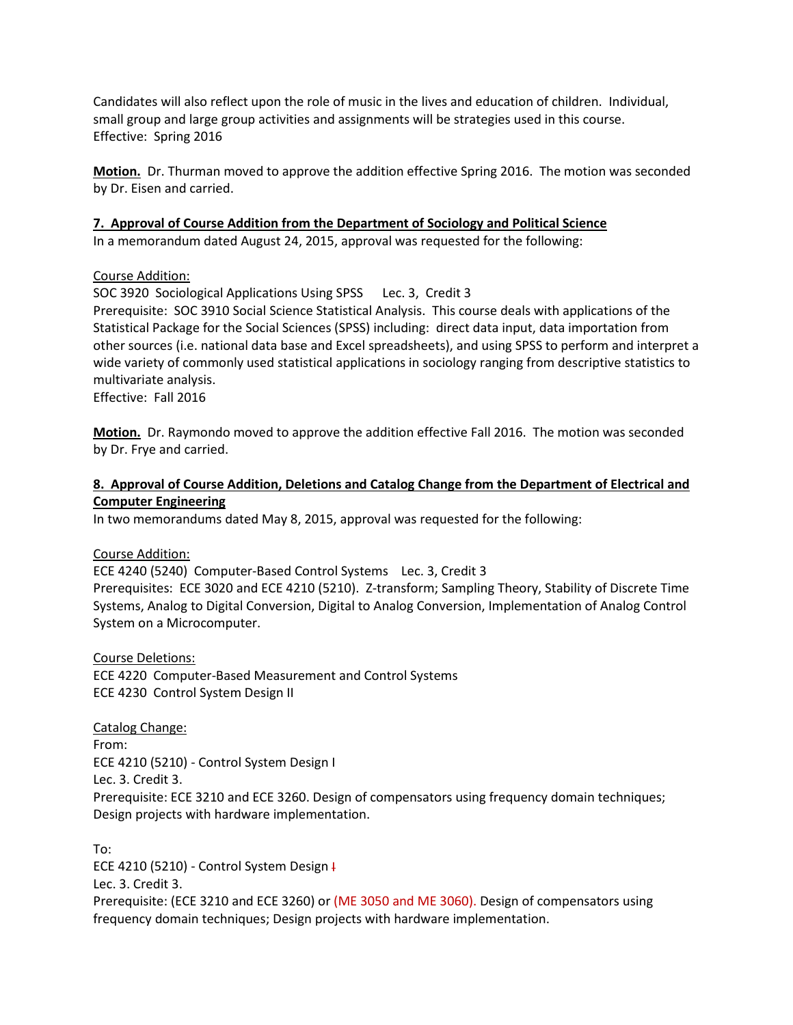Candidates will also reflect upon the role of music in the lives and education of children. Individual, small group and large group activities and assignments will be strategies used in this course. Effective: Spring 2016

**Motion.** Dr. Thurman moved to approve the addition effective Spring 2016. The motion was seconded by Dr. Eisen and carried.

### **7. Approval of Course Addition from the Department of Sociology and Political Science**

In a memorandum dated August 24, 2015, approval was requested for the following:

#### Course Addition:

SOC 3920 Sociological Applications Using SPSS Lec. 3, Credit 3

Prerequisite: SOC 3910 Social Science Statistical Analysis. This course deals with applications of the Statistical Package for the Social Sciences (SPSS) including: direct data input, data importation from other sources (i.e. national data base and Excel spreadsheets), and using SPSS to perform and interpret a wide variety of commonly used statistical applications in sociology ranging from descriptive statistics to multivariate analysis.

Effective: Fall 2016

**Motion.** Dr. Raymondo moved to approve the addition effective Fall 2016. The motion was seconded by Dr. Frye and carried.

### **8. Approval of Course Addition, Deletions and Catalog Change from the Department of Electrical and Computer Engineering**

In two memorandums dated May 8, 2015, approval was requested for the following:

#### Course Addition:

ECE 4240 (5240) Computer-Based Control Systems Lec. 3, Credit 3 Prerequisites: ECE 3020 and ECE 4210 (5210). Z-transform; Sampling Theory, Stability of Discrete Time Systems, Analog to Digital Conversion, Digital to Analog Conversion, Implementation of Analog Control System on a Microcomputer.

Course Deletions: ECE 4220 Computer-Based Measurement and Control Systems ECE 4230 Control System Design II

Catalog Change: From: ECE 4210 (5210) - Control System Design I Lec. 3. Credit 3. Prerequisite: ECE 3210 and ECE 3260. Design of compensators using frequency domain techniques; Design projects with hardware implementation.

To: ECE 4210 (5210) - Control System Design I Lec. 3. Credit 3. Prerequisite: (ECE 3210 and ECE 3260) or (ME 3050 and ME 3060). Design of compensators using frequency domain techniques; Design projects with hardware implementation.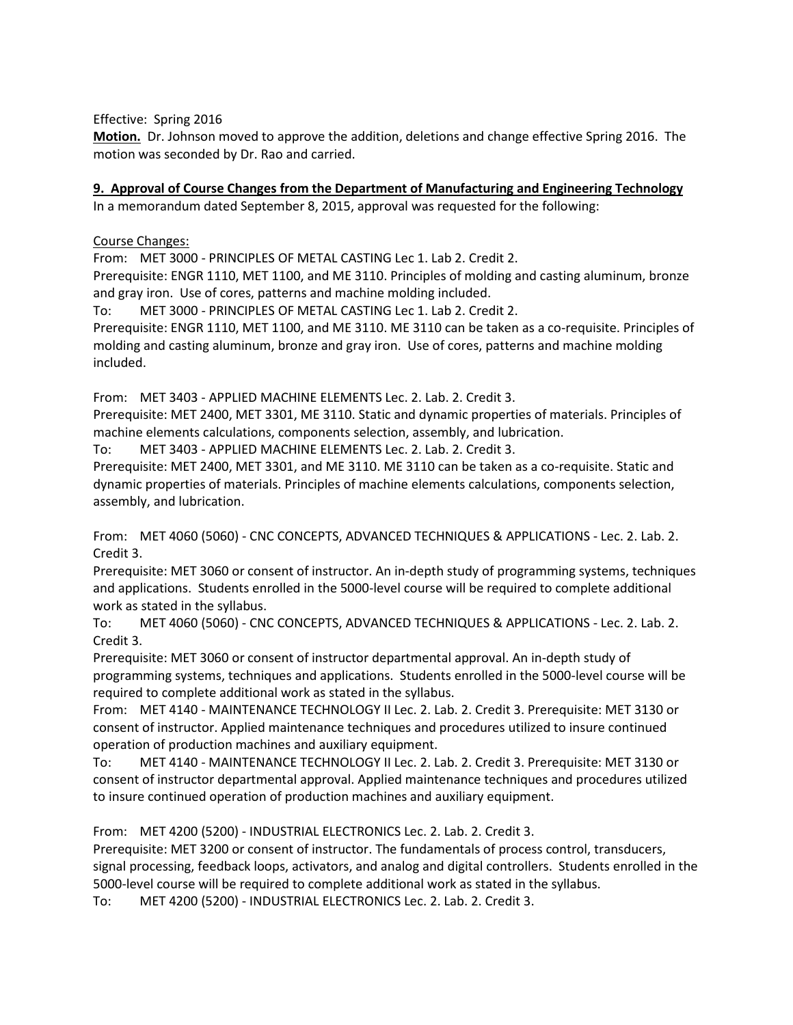Effective: Spring 2016

**Motion.** Dr. Johnson moved to approve the addition, deletions and change effective Spring 2016. The motion was seconded by Dr. Rao and carried.

# **9. Approval of Course Changes from the Department of Manufacturing and Engineering Technology**

In a memorandum dated September 8, 2015, approval was requested for the following:

### Course Changes:

From: MET 3000 - PRINCIPLES OF METAL CASTING Lec 1. Lab 2. Credit 2.

Prerequisite: ENGR 1110, MET 1100, and ME 3110. Principles of molding and casting aluminum, bronze and gray iron. Use of cores, patterns and machine molding included.

To: MET 3000 - PRINCIPLES OF METAL CASTING Lec 1. Lab 2. Credit 2.

Prerequisite: ENGR 1110, MET 1100, and ME 3110. ME 3110 can be taken as a co-requisite. Principles of molding and casting aluminum, bronze and gray iron. Use of cores, patterns and machine molding included.

From: MET 3403 - APPLIED MACHINE ELEMENTS Lec. 2. Lab. 2. Credit 3.

Prerequisite: MET 2400, MET 3301, ME 3110. Static and dynamic properties of materials. Principles of machine elements calculations, components selection, assembly, and lubrication.

To: MET 3403 - APPLIED MACHINE ELEMENTS Lec. 2. Lab. 2. Credit 3.

Prerequisite: MET 2400, MET 3301, and ME 3110. ME 3110 can be taken as a co-requisite. Static and dynamic properties of materials. Principles of machine elements calculations, components selection, assembly, and lubrication.

From: MET 4060 (5060) - CNC CONCEPTS, ADVANCED TECHNIQUES & APPLICATIONS - Lec. 2. Lab. 2. Credit 3.

Prerequisite: MET 3060 or consent of instructor. An in-depth study of programming systems, techniques and applications. Students enrolled in the 5000-level course will be required to complete additional work as stated in the syllabus.

To: MET 4060 (5060) - CNC CONCEPTS, ADVANCED TECHNIQUES & APPLICATIONS - Lec. 2. Lab. 2. Credit 3.

Prerequisite: MET 3060 or consent of instructor departmental approval. An in-depth study of programming systems, techniques and applications. Students enrolled in the 5000-level course will be required to complete additional work as stated in the syllabus.

From: MET 4140 - MAINTENANCE TECHNOLOGY II Lec. 2. Lab. 2. Credit 3. Prerequisite: MET 3130 or consent of instructor. Applied maintenance techniques and procedures utilized to insure continued operation of production machines and auxiliary equipment.

To: MET 4140 - MAINTENANCE TECHNOLOGY II Lec. 2. Lab. 2. Credit 3. Prerequisite: MET 3130 or consent of instructor departmental approval. Applied maintenance techniques and procedures utilized to insure continued operation of production machines and auxiliary equipment.

From: MET 4200 (5200) - INDUSTRIAL ELECTRONICS Lec. 2. Lab. 2. Credit 3.

Prerequisite: MET 3200 or consent of instructor. The fundamentals of process control, transducers, signal processing, feedback loops, activators, and analog and digital controllers. Students enrolled in the 5000-level course will be required to complete additional work as stated in the syllabus.

To: MET 4200 (5200) - INDUSTRIAL ELECTRONICS Lec. 2. Lab. 2. Credit 3.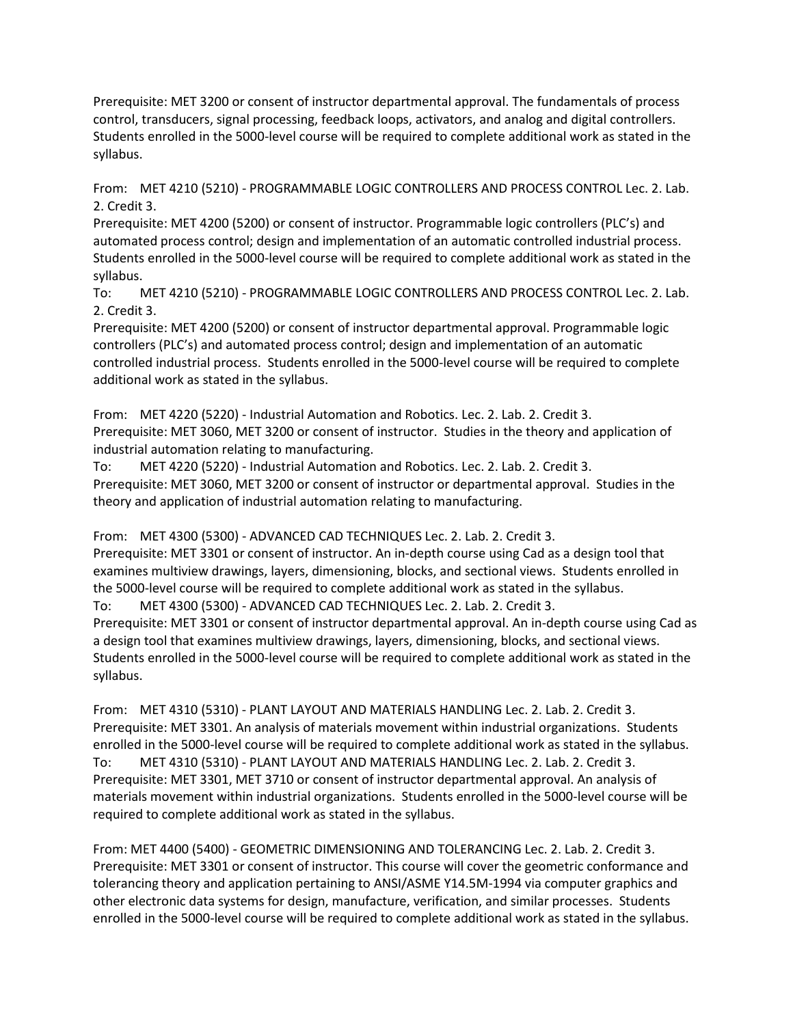Prerequisite: MET 3200 or consent of instructor departmental approval. The fundamentals of process control, transducers, signal processing, feedback loops, activators, and analog and digital controllers. Students enrolled in the 5000-level course will be required to complete additional work as stated in the syllabus.

From: MET 4210 (5210) - PROGRAMMABLE LOGIC CONTROLLERS AND PROCESS CONTROL Lec. 2. Lab. 2. Credit 3.

Prerequisite: MET 4200 (5200) or consent of instructor. Programmable logic controllers (PLC's) and automated process control; design and implementation of an automatic controlled industrial process. Students enrolled in the 5000-level course will be required to complete additional work as stated in the syllabus.

To: MET 4210 (5210) - PROGRAMMABLE LOGIC CONTROLLERS AND PROCESS CONTROL Lec. 2. Lab. 2. Credit 3.

Prerequisite: MET 4200 (5200) or consent of instructor departmental approval. Programmable logic controllers (PLC's) and automated process control; design and implementation of an automatic controlled industrial process. Students enrolled in the 5000-level course will be required to complete additional work as stated in the syllabus.

From: MET 4220 (5220) - Industrial Automation and Robotics. Lec. 2. Lab. 2. Credit 3. Prerequisite: MET 3060, MET 3200 or consent of instructor. Studies in the theory and application of industrial automation relating to manufacturing.

To: MET 4220 (5220) - Industrial Automation and Robotics. Lec. 2. Lab. 2. Credit 3. Prerequisite: MET 3060, MET 3200 or consent of instructor or departmental approval. Studies in the theory and application of industrial automation relating to manufacturing.

From: MET 4300 (5300) - ADVANCED CAD TECHNIQUES Lec. 2. Lab. 2. Credit 3. Prerequisite: MET 3301 or consent of instructor. An in-depth course using Cad as a design tool that examines multiview drawings, layers, dimensioning, blocks, and sectional views. Students enrolled in the 5000-level course will be required to complete additional work as stated in the syllabus. To: MET 4300 (5300) - ADVANCED CAD TECHNIQUES Lec. 2. Lab. 2. Credit 3. Prerequisite: MET 3301 or consent of instructor departmental approval. An in-depth course using Cad as a design tool that examines multiview drawings, layers, dimensioning, blocks, and sectional views. Students enrolled in the 5000-level course will be required to complete additional work as stated in the syllabus.

From: MET 4310 (5310) - PLANT LAYOUT AND MATERIALS HANDLING Lec. 2. Lab. 2. Credit 3. Prerequisite: MET 3301. An analysis of materials movement within industrial organizations. Students enrolled in the 5000-level course will be required to complete additional work as stated in the syllabus. To: MET 4310 (5310) - PLANT LAYOUT AND MATERIALS HANDLING Lec. 2. Lab. 2. Credit 3. Prerequisite: MET 3301, MET 3710 or consent of instructor departmental approval. An analysis of materials movement within industrial organizations. Students enrolled in the 5000-level course will be required to complete additional work as stated in the syllabus.

From: MET 4400 (5400) - GEOMETRIC DIMENSIONING AND TOLERANCING Lec. 2. Lab. 2. Credit 3. Prerequisite: MET 3301 or consent of instructor. This course will cover the geometric conformance and tolerancing theory and application pertaining to ANSI/ASME Y14.5M-1994 via computer graphics and other electronic data systems for design, manufacture, verification, and similar processes. Students enrolled in the 5000-level course will be required to complete additional work as stated in the syllabus.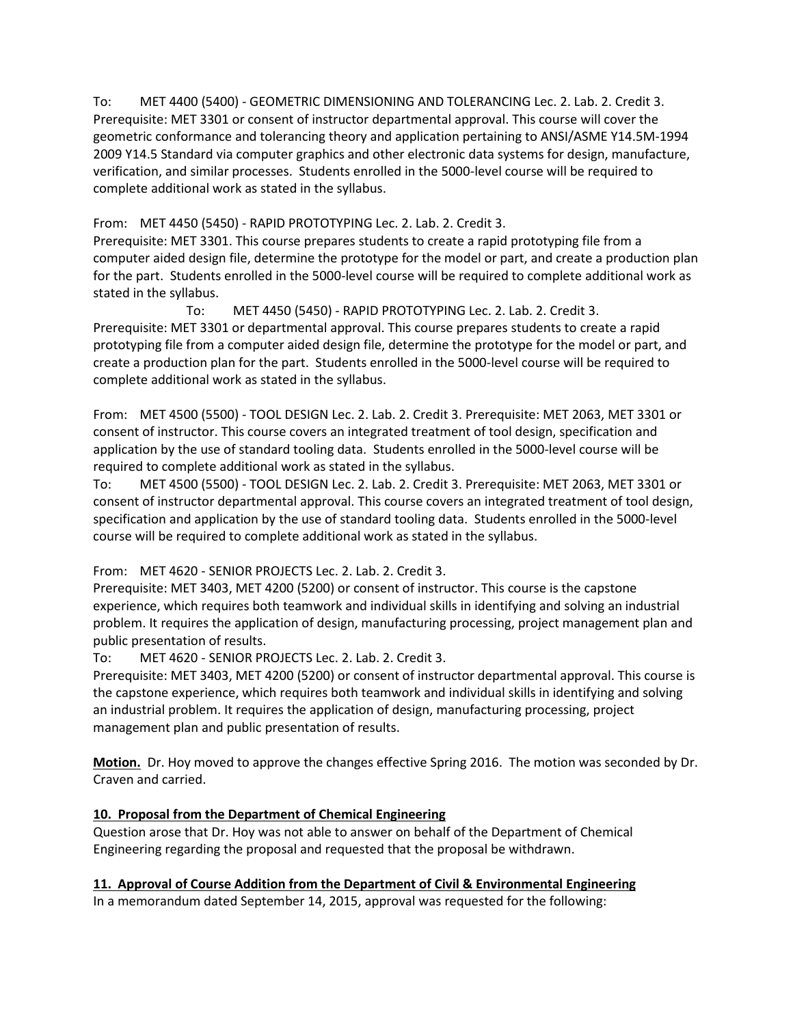To: MET 4400 (5400) - GEOMETRIC DIMENSIONING AND TOLERANCING Lec. 2. Lab. 2. Credit 3. Prerequisite: MET 3301 or consent of instructor departmental approval. This course will cover the geometric conformance and tolerancing theory and application pertaining to ANSI/ASME Y14.5M-1994 2009 Y14.5 Standard via computer graphics and other electronic data systems for design, manufacture, verification, and similar processes. Students enrolled in the 5000-level course will be required to complete additional work as stated in the syllabus.

From: MET 4450 (5450) - RAPID PROTOTYPING Lec. 2. Lab. 2. Credit 3.

Prerequisite: MET 3301. This course prepares students to create a rapid prototyping file from a computer aided design file, determine the prototype for the model or part, and create a production plan for the part. Students enrolled in the 5000-level course will be required to complete additional work as stated in the syllabus.

To: MET 4450 (5450) - RAPID PROTOTYPING Lec. 2. Lab. 2. Credit 3. Prerequisite: MET 3301 or departmental approval. This course prepares students to create a rapid prototyping file from a computer aided design file, determine the prototype for the model or part, and create a production plan for the part. Students enrolled in the 5000-level course will be required to complete additional work as stated in the syllabus.

From: MET 4500 (5500) - TOOL DESIGN Lec. 2. Lab. 2. Credit 3. Prerequisite: MET 2063, MET 3301 or consent of instructor. This course covers an integrated treatment of tool design, specification and application by the use of standard tooling data. Students enrolled in the 5000-level course will be required to complete additional work as stated in the syllabus.

To: MET 4500 (5500) - TOOL DESIGN Lec. 2. Lab. 2. Credit 3. Prerequisite: MET 2063, MET 3301 or consent of instructor departmental approval. This course covers an integrated treatment of tool design, specification and application by the use of standard tooling data. Students enrolled in the 5000-level course will be required to complete additional work as stated in the syllabus.

From: MET 4620 - SENIOR PROJECTS Lec. 2. Lab. 2. Credit 3.

Prerequisite: MET 3403, MET 4200 (5200) or consent of instructor. This course is the capstone experience, which requires both teamwork and individual skills in identifying and solving an industrial problem. It requires the application of design, manufacturing processing, project management plan and public presentation of results.

To: MET 4620 - SENIOR PROJECTS Lec. 2. Lab. 2. Credit 3.

Prerequisite: MET 3403, MET 4200 (5200) or consent of instructor departmental approval. This course is the capstone experience, which requires both teamwork and individual skills in identifying and solving an industrial problem. It requires the application of design, manufacturing processing, project management plan and public presentation of results.

**Motion.** Dr. Hoy moved to approve the changes effective Spring 2016. The motion was seconded by Dr. Craven and carried.

# **10. Proposal from the Department of Chemical Engineering**

Question arose that Dr. Hoy was not able to answer on behalf of the Department of Chemical Engineering regarding the proposal and requested that the proposal be withdrawn.

#### **11. Approval of Course Addition from the Department of Civil & Environmental Engineering**

In a memorandum dated September 14, 2015, approval was requested for the following: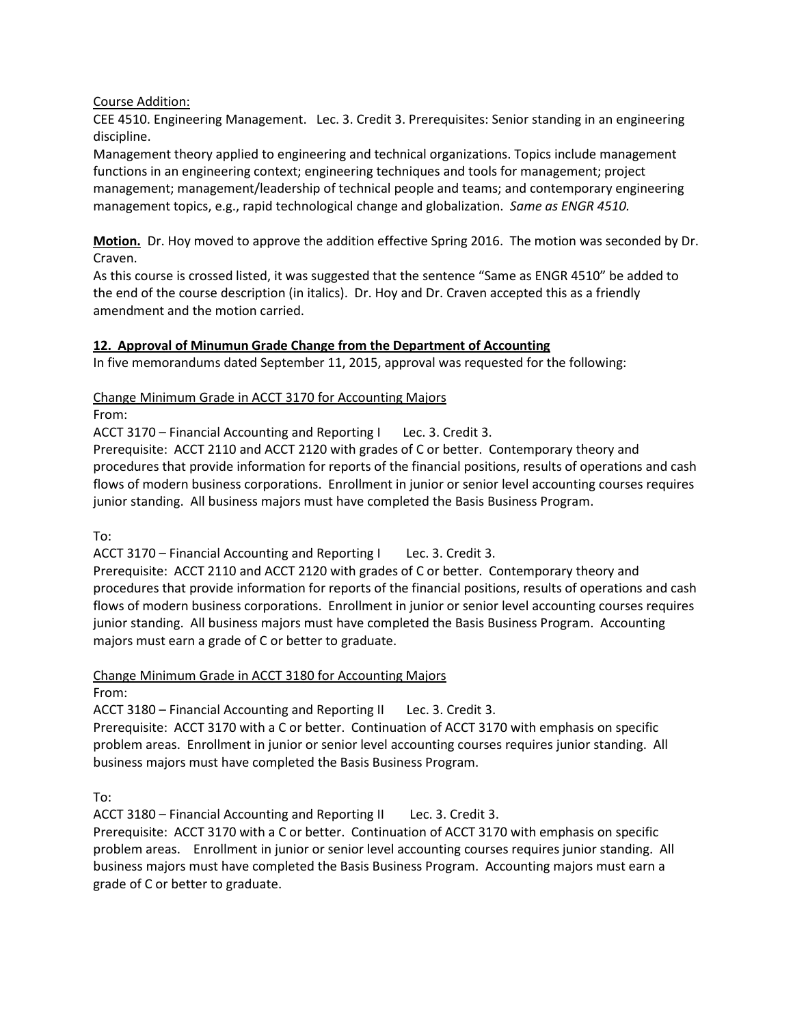### Course Addition:

CEE 4510. Engineering Management. Lec. 3. Credit 3. Prerequisites: Senior standing in an engineering discipline.

Management theory applied to engineering and technical organizations. Topics include management functions in an engineering context; engineering techniques and tools for management; project management; management/leadership of technical people and teams; and contemporary engineering management topics, e.g., rapid technological change and globalization. *Same as ENGR 4510.*

**Motion.** Dr. Hoy moved to approve the addition effective Spring 2016. The motion was seconded by Dr. Craven.

As this course is crossed listed, it was suggested that the sentence "Same as ENGR 4510" be added to the end of the course description (in italics). Dr. Hoy and Dr. Craven accepted this as a friendly amendment and the motion carried.

# **12. Approval of Minumun Grade Change from the Department of Accounting**

In five memorandums dated September 11, 2015, approval was requested for the following:

Change Minimum Grade in ACCT 3170 for Accounting Majors

From:

ACCT 3170 – Financial Accounting and Reporting I Lec. 3. Credit 3.

Prerequisite: ACCT 2110 and ACCT 2120 with grades of C or better. Contemporary theory and procedures that provide information for reports of the financial positions, results of operations and cash flows of modern business corporations. Enrollment in junior or senior level accounting courses requires junior standing. All business majors must have completed the Basis Business Program.

To:

ACCT 3170 – Financial Accounting and Reporting I Lec. 3. Credit 3.

Prerequisite: ACCT 2110 and ACCT 2120 with grades of C or better. Contemporary theory and procedures that provide information for reports of the financial positions, results of operations and cash flows of modern business corporations. Enrollment in junior or senior level accounting courses requires junior standing. All business majors must have completed the Basis Business Program. Accounting majors must earn a grade of C or better to graduate.

Change Minimum Grade in ACCT 3180 for Accounting Majors

From:

ACCT 3180 – Financial Accounting and Reporting II Lec. 3. Credit 3.

Prerequisite: ACCT 3170 with a C or better. Continuation of ACCT 3170 with emphasis on specific problem areas. Enrollment in junior or senior level accounting courses requires junior standing. All business majors must have completed the Basis Business Program.

To:

ACCT 3180 – Financial Accounting and Reporting II Lec. 3. Credit 3.

Prerequisite: ACCT 3170 with a C or better. Continuation of ACCT 3170 with emphasis on specific problem areas. Enrollment in junior or senior level accounting courses requires junior standing. All business majors must have completed the Basis Business Program. Accounting majors must earn a grade of C or better to graduate.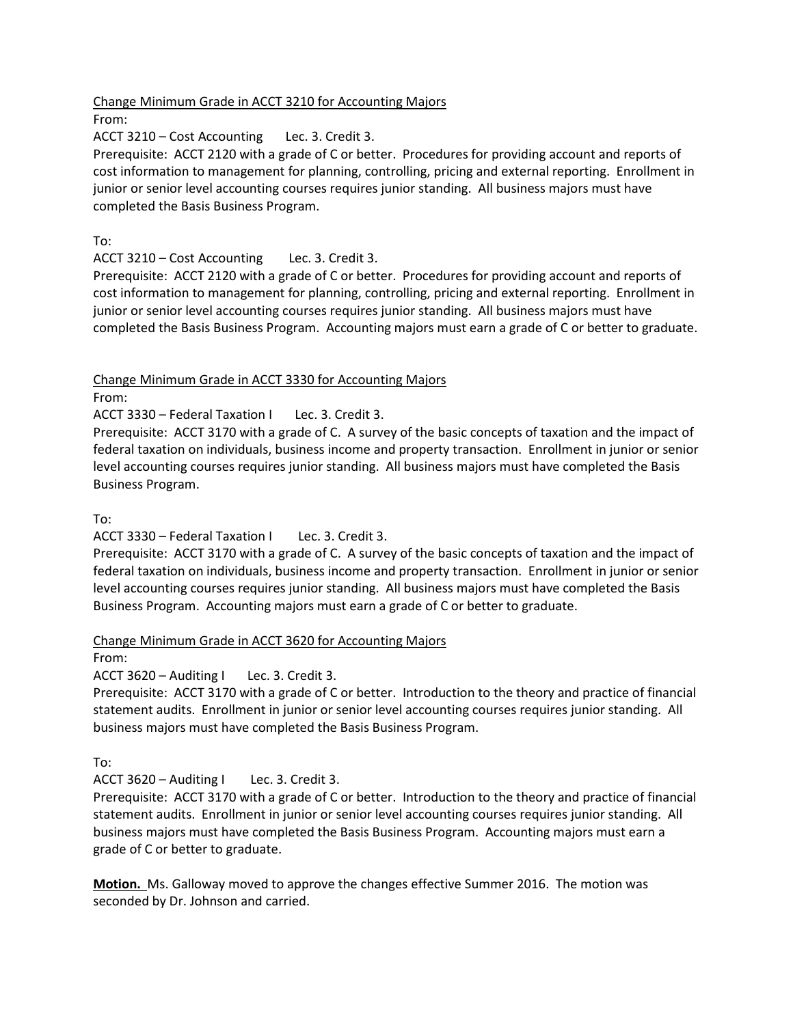Change Minimum Grade in ACCT 3210 for Accounting Majors

From:

ACCT 3210 – Cost Accounting Lec. 3. Credit 3.

Prerequisite: ACCT 2120 with a grade of C or better. Procedures for providing account and reports of cost information to management for planning, controlling, pricing and external reporting. Enrollment in junior or senior level accounting courses requires junior standing. All business majors must have completed the Basis Business Program.

To:

ACCT 3210 – Cost Accounting Lec. 3. Credit 3.

Prerequisite: ACCT 2120 with a grade of C or better. Procedures for providing account and reports of cost information to management for planning, controlling, pricing and external reporting. Enrollment in junior or senior level accounting courses requires junior standing. All business majors must have completed the Basis Business Program. Accounting majors must earn a grade of C or better to graduate.

Change Minimum Grade in ACCT 3330 for Accounting Majors

From:

ACCT 3330 – Federal Taxation I Lec. 3. Credit 3.

Prerequisite: ACCT 3170 with a grade of C. A survey of the basic concepts of taxation and the impact of federal taxation on individuals, business income and property transaction. Enrollment in junior or senior level accounting courses requires junior standing. All business majors must have completed the Basis Business Program.

To:

ACCT 3330 – Federal Taxation I Lec. 3. Credit 3.

Prerequisite: ACCT 3170 with a grade of C. A survey of the basic concepts of taxation and the impact of federal taxation on individuals, business income and property transaction. Enrollment in junior or senior level accounting courses requires junior standing. All business majors must have completed the Basis Business Program. Accounting majors must earn a grade of C or better to graduate.

Change Minimum Grade in ACCT 3620 for Accounting Majors

From:

ACCT 3620 – Auditing I Lec. 3. Credit 3.

Prerequisite: ACCT 3170 with a grade of C or better. Introduction to the theory and practice of financial statement audits. Enrollment in junior or senior level accounting courses requires junior standing. All business majors must have completed the Basis Business Program.

To:

ACCT 3620 – Auditing I Lec. 3. Credit 3.

Prerequisite: ACCT 3170 with a grade of C or better. Introduction to the theory and practice of financial statement audits. Enrollment in junior or senior level accounting courses requires junior standing. All business majors must have completed the Basis Business Program. Accounting majors must earn a grade of C or better to graduate.

**Motion.** Ms. Galloway moved to approve the changes effective Summer 2016. The motion was seconded by Dr. Johnson and carried.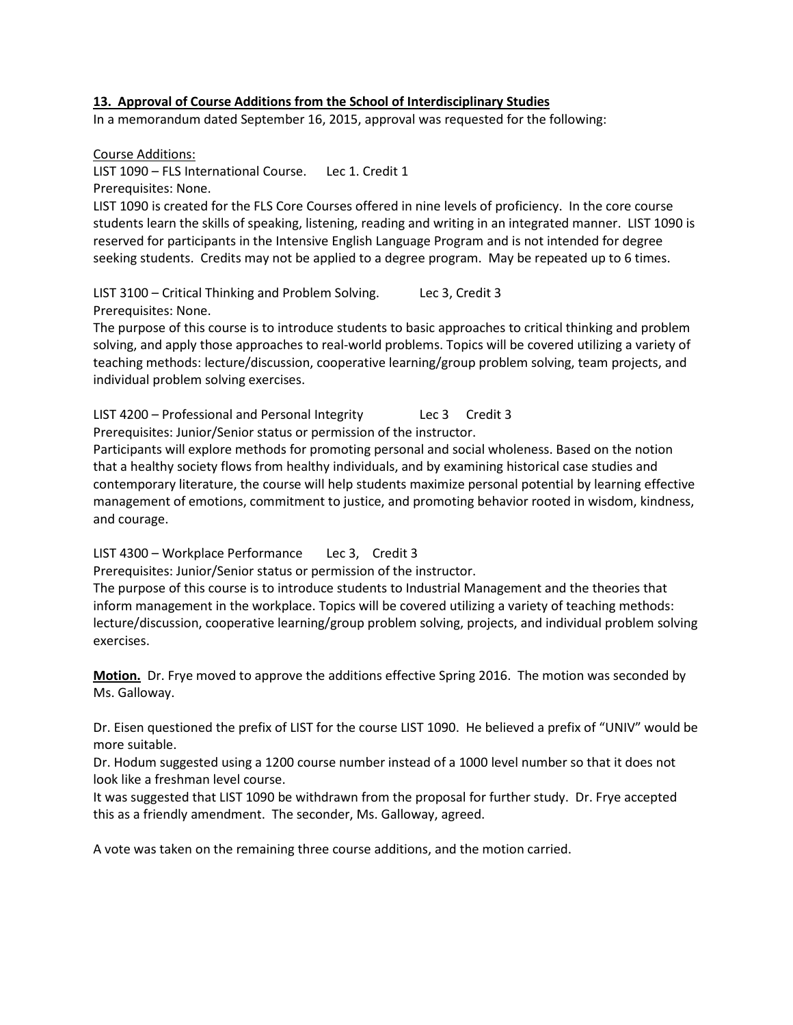#### **13. Approval of Course Additions from the School of Interdisciplinary Studies**

In a memorandum dated September 16, 2015, approval was requested for the following:

Course Additions: LIST 1090 – FLS International Course. Lec 1. Credit 1 Prerequisites: None. LIST 1090 is created for the FLS Core Courses offered in nine levels of proficiency. In the core course

students learn the skills of speaking, listening, reading and writing in an integrated manner. LIST 1090 is reserved for participants in the Intensive English Language Program and is not intended for degree seeking students. Credits may not be applied to a degree program. May be repeated up to 6 times.

LIST 3100 – Critical Thinking and Problem Solving. Lec 3, Credit 3 Prerequisites: None.

The purpose of this course is to introduce students to basic approaches to critical thinking and problem solving, and apply those approaches to real-world problems. Topics will be covered utilizing a variety of teaching methods: lecture/discussion, cooperative learning/group problem solving, team projects, and individual problem solving exercises.

LIST 4200 – Professional and Personal Integrity Lec 3 Credit 3 Prerequisites: Junior/Senior status or permission of the instructor.

Participants will explore methods for promoting personal and social wholeness. Based on the notion that a healthy society flows from healthy individuals, and by examining historical case studies and contemporary literature, the course will help students maximize personal potential by learning effective management of emotions, commitment to justice, and promoting behavior rooted in wisdom, kindness, and courage.

LIST 4300 – Workplace Performance Lec 3, Credit 3

Prerequisites: Junior/Senior status or permission of the instructor.

The purpose of this course is to introduce students to Industrial Management and the theories that inform management in the workplace. Topics will be covered utilizing a variety of teaching methods: lecture/discussion, cooperative learning/group problem solving, projects, and individual problem solving exercises.

**Motion.** Dr. Frye moved to approve the additions effective Spring 2016. The motion was seconded by Ms. Galloway.

Dr. Eisen questioned the prefix of LIST for the course LIST 1090. He believed a prefix of "UNIV" would be more suitable.

Dr. Hodum suggested using a 1200 course number instead of a 1000 level number so that it does not look like a freshman level course.

It was suggested that LIST 1090 be withdrawn from the proposal for further study. Dr. Frye accepted this as a friendly amendment. The seconder, Ms. Galloway, agreed.

A vote was taken on the remaining three course additions, and the motion carried.